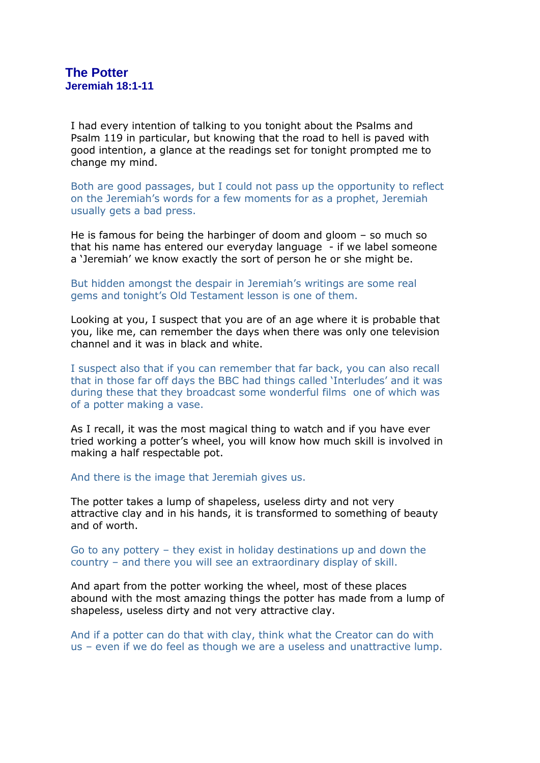I had every intention of talking to you tonight about the Psalms and Psalm 119 in particular, but knowing that the road to hell is paved with good intention, a glance at the readings set for tonight prompted me to change my mind.

Both are good passages, but I could not pass up the opportunity to reflect on the Jeremiah's words for a few moments for as a prophet, Jeremiah usually gets a bad press.

He is famous for being the harbinger of doom and gloom – so much so that his name has entered our everyday language - if we label someone a 'Jeremiah' we know exactly the sort of person he or she might be.

But hidden amongst the despair in Jeremiah's writings are some real gems and tonight's Old Testament lesson is one of them.

Looking at you, I suspect that you are of an age where it is probable that you, like me, can remember the days when there was only one television channel and it was in black and white.

I suspect also that if you can remember that far back, you can also recall that in those far off days the BBC had things called 'Interludes' and it was during these that they broadcast some wonderful films one of which was of a potter making a vase.

As I recall, it was the most magical thing to watch and if you have ever tried working a potter's wheel, you will know how much skill is involved in making a half respectable pot.

And there is the image that Jeremiah gives us.

The potter takes a lump of shapeless, useless dirty and not very attractive clay and in his hands, it is transformed to something of beauty and of worth.

Go to any pottery – they exist in holiday destinations up and down the country – and there you will see an extraordinary display of skill.

And apart from the potter working the wheel, most of these places abound with the most amazing things the potter has made from a lump of shapeless, useless dirty and not very attractive clay.

And if a potter can do that with clay, think what the Creator can do with us – even if we do feel as though we are a useless and unattractive lump.